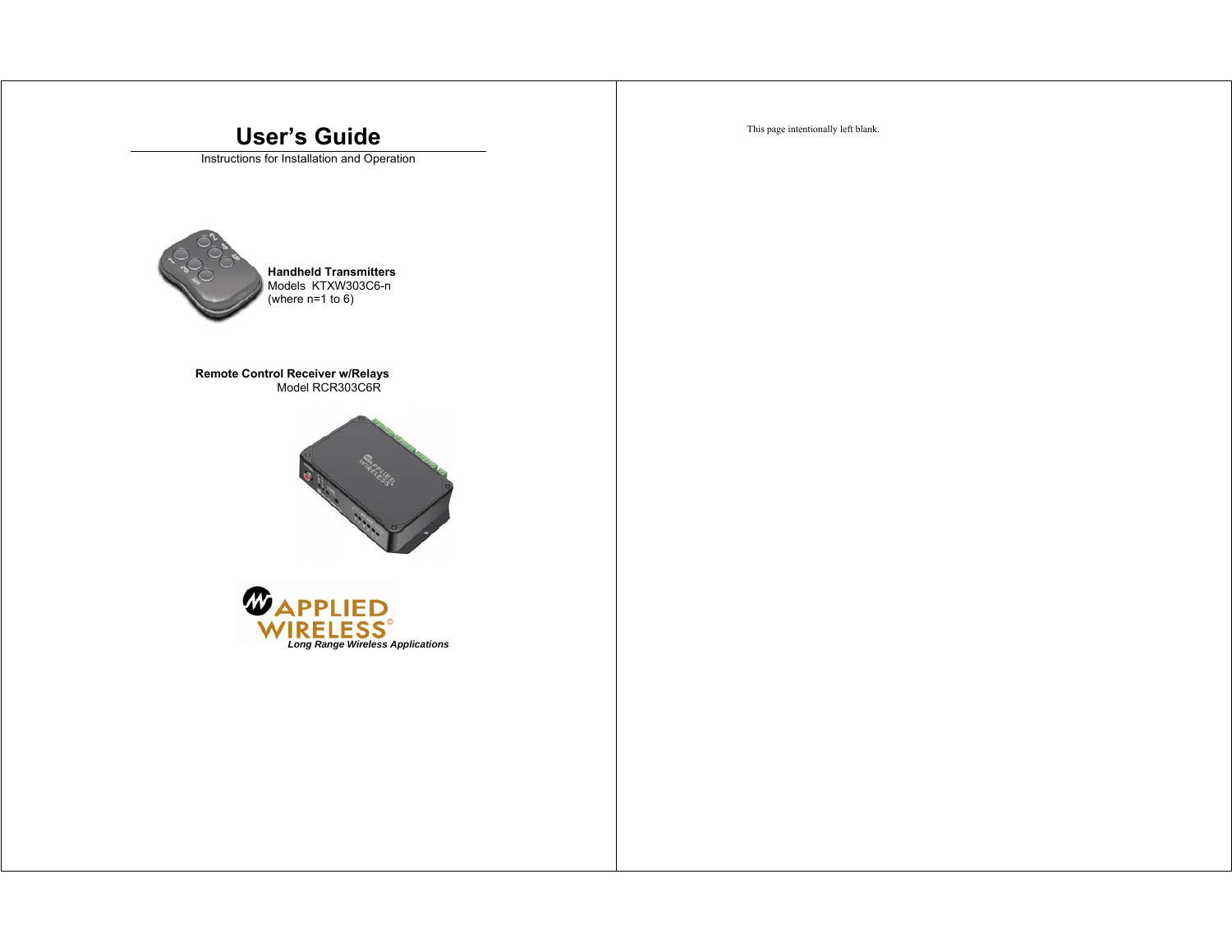# This page intentionally left blank. **User's Guide**  Instructions for Installation and Operation **Handheld Transmitters**  Models KTXW303C6-n (where n=1 to 6) **Remote Control Receiver w/Relays**  Model RCR303C6R **RACTION**  $\mathbf{\Phi}_{\mathbf{APPLIED}}$ *Long Range Wireless Applications*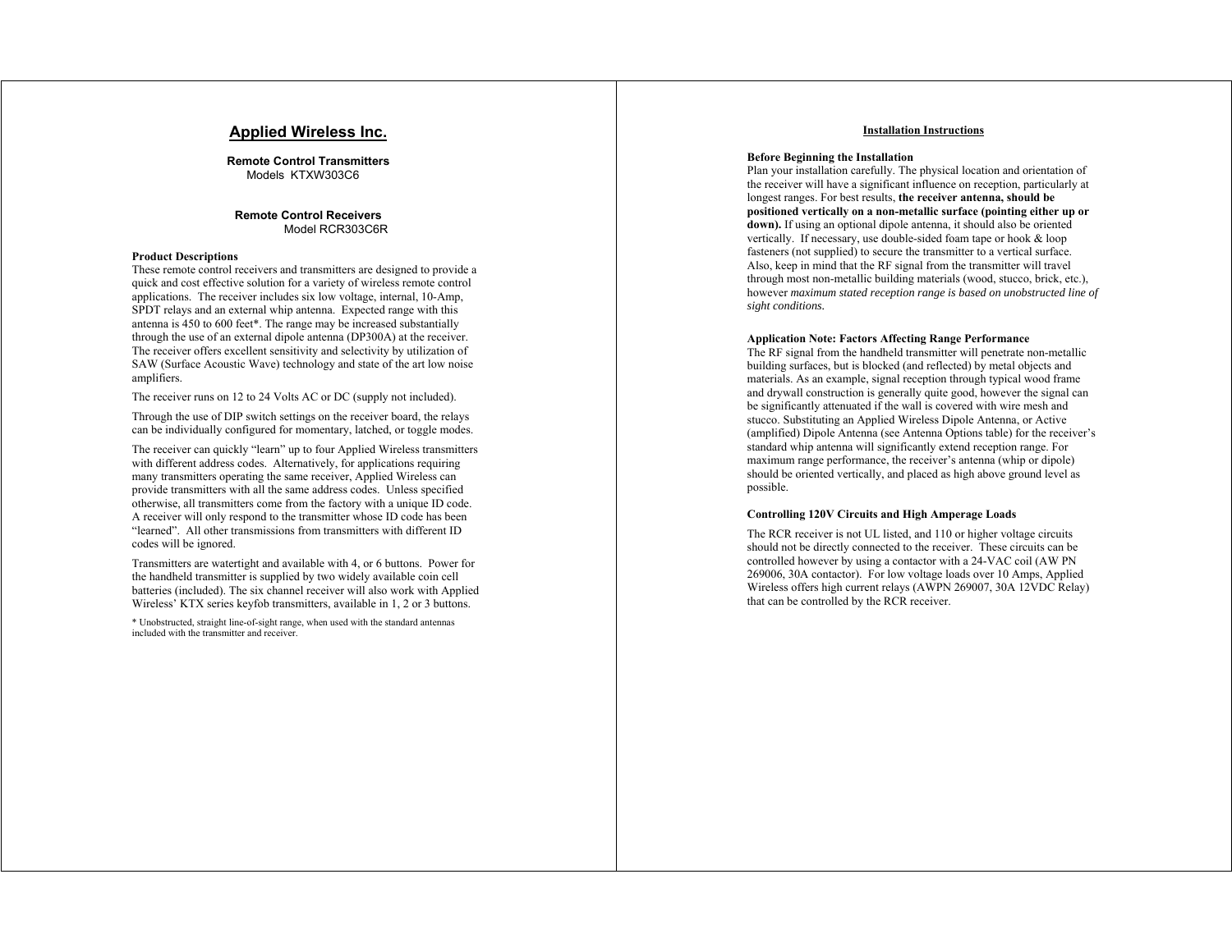# **Applied Wireless Inc.**

**Remote Control Transmitters**  Models KTXW303C6

## **Remote Control Receivers**  Model RCR303C6R

#### **Product Descriptions**

These remote control receivers and transmitters are designed to provide a quick and cost effective solution for a variety of wireless remote control applications. The receiver includes six low voltage, internal, 10-Amp, SPDT relays and an external whip antenna. Expected range with this antenna is 450 to 600 feet\*. The range may be increased substantially through the use of an external dipole antenna (DP300A) at the receiver. The receiver offers excellent sensitivity and selectivity by utilization of SAW (Surface Acoustic Wave) technology and state of the art low noise amplifiers.

The receiver runs on 12 to 24 Volts AC or DC (supply not included).

Through the use of DIP switch settings on the receiver board, the relays can be individually configured for momentary, latched, or toggle modes.

The receiver can quickly "learn" up to four Applied Wireless transmitters with different address codes. Alternatively, for applications requiring many transmitters operating the same receiver, Applied Wireless can provide transmitters with all the same address codes. Unless specified otherwise, all transmitters come from the factory with a unique ID code. A receiver will only respond to the transmitter whose ID code has been "learned". All other transmissions from transmitters with different ID codes will be ignored.

Transmitters are watertight and available with 4, or 6 buttons. Power for the handheld transmitter is supplied by two widely available coin cell batteries (included). The six channel receiver will also work with Applied Wireless' KTX series keyfob transmitters, available in 1, 2 or 3 buttons.

\* Unobstructed, straight line-of-sight range, when used with the standard antennas included with the transmitter and receiver.

## **Installation Instructions**

#### **Before Beginning the Installation**

Plan your installation carefully. The physical location and orientation of the receiver will have a significant influence on reception, particularly at longest ranges. For best results, **the receiver antenna, should be positioned vertically on a non-metallic surface (pointing either up or**  down). If using an optional dipole antenna, it should also be oriented vertically. If necessary, use double-sided foam tape or hook & loop fasteners (not supplied) to secure the transmitter to a vertical surface. Also, keep in mind that the RF signal from the transmitter will travel through most non-metallic building materials (wood, stucco, brick, etc.), however *maximum stated reception range is based on unobstructed line of sight conditions.* 

#### **Application Note: Factors Affecting Range Performance**

The RF signal from the handheld transmitter will penetrate non-metallic building surfaces, but is blocked (and reflected) by metal objects and materials. As an example, signal reception through typical wood frame and drywall construction is generally quite good, however the signal can be significantly attenuated if the wall is covered with wire mesh and stucco. Substituting an Applied Wireless Dipole Antenna, or Active (amplified) Dipole Antenna (see Antenna Options table) for the receiver's standard whip antenna will significantly extend reception range. For maximum range performance, the receiver's antenna (whip or dipole) should be oriented vertically, and placed as high above ground level as possible.

## **Controlling 120V Circuits and High Amperage Loads**

The RCR receiver is not UL listed, and 110 or higher voltage circuits should not be directly connected to the receiver. These circuits can be controlled however by using a contactor with a 24-VAC coil (AW PN 269006, 30A contactor). For low voltage loads over 10 Amps, Applied Wireless offers high current relays (AWPN 269007, 30A 12VDC Relay) that can be controlled by the RCR receiver.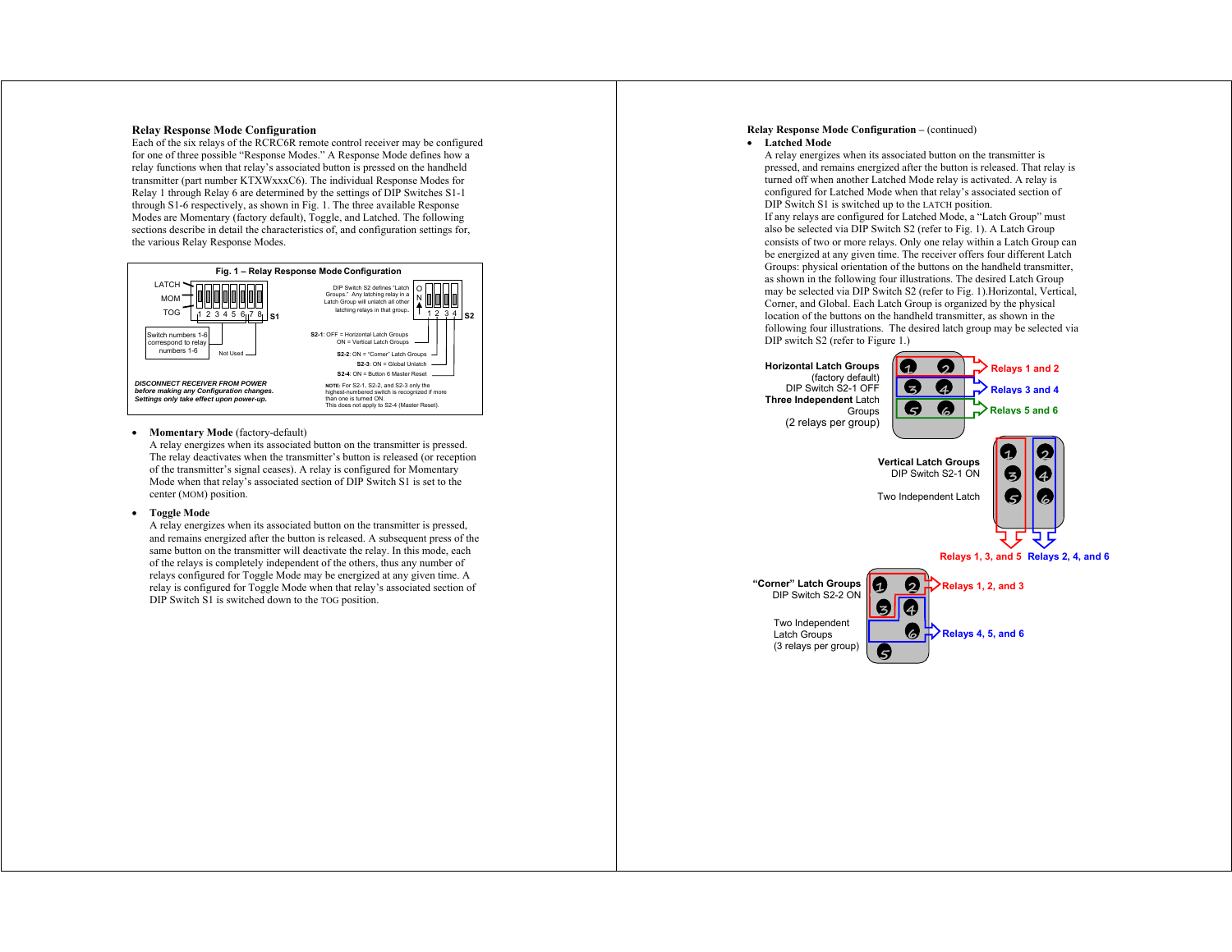### **Relay Response Mode Configuration**

Each of the six relays of the RCRC6R remote control receiver may be configured for one of three possible "Response Modes." A Response Mode defines how a relay functions when that relay's associated button is pressed on the handheld transmitter (part number KTXWxxxC6). The individual Response Modes for Relay 1 through Relay 6 are determined by the settings of DIP Switches S1-1 through S1-6 respectively, as shown in Fig. 1. The three available Response Modes are Momentary (factory default), Toggle, and Latched. The following sections describe in detail the characteristics of, and configuration settings for, the various Relay Response Modes.



#### **Momentary Mode** (factory-default)

A relay energizes when its associated button on the transmitter is pressed. The relay deactivates when the transmitter's button is released (or reception of the transmitter's signal ceases). A relay is configured for Momentary Mode when that relay's associated section of DIP Switch S1 is set to the center (MOM) position.

#### **Toggle Mode**

A relay energizes when its associated button on the transmitter is pressed, and remains energized after the button is released. A subsequent press of the same button on the transmitter will deactivate the relay. In this mode, each of the relays is completely independent of the others, thus any number of relays configured for Toggle Mode may be energized at any given time. A relay is configured for Toggle Mode when that relay's associated section of DIP Switch S1 is switched down to the TOG position.

## **Relay Response Mode Configuration – (continued)**

#### **Latched Mode**

A relay energizes when its associated button on the transmitter is pressed, and remains energized after the button is released. That relay is turned off when another Latched Mode relay is activated. A relay is configured for Latched Mode when that relay's associated section of DIP Switch S1 is switched up to the LATCH position. If any relays are configured for Latched Mode, a "Latch Group" must also be selected via DIP Switch S2 (refer to Fig. 1). A Latch Group consists of two or more relays. Only one relay within a Latch Group can be energized at any given time. The receiver offers four different Latch Groups: physical orientation of the buttons on the handheld transmitter, as shown in the following four illustrations. The desired Latch Group may be selected via DIP Switch S2 (refer to Fig. 1).Horizontal, Vertical, Corner, and Global. Each Latch Group is organized by the physical location of the buttons on the handheld transmitter, as shown in the following four illustrations. The desired latch group may be selected via DIP switch S2 (refer to Figure 1.)

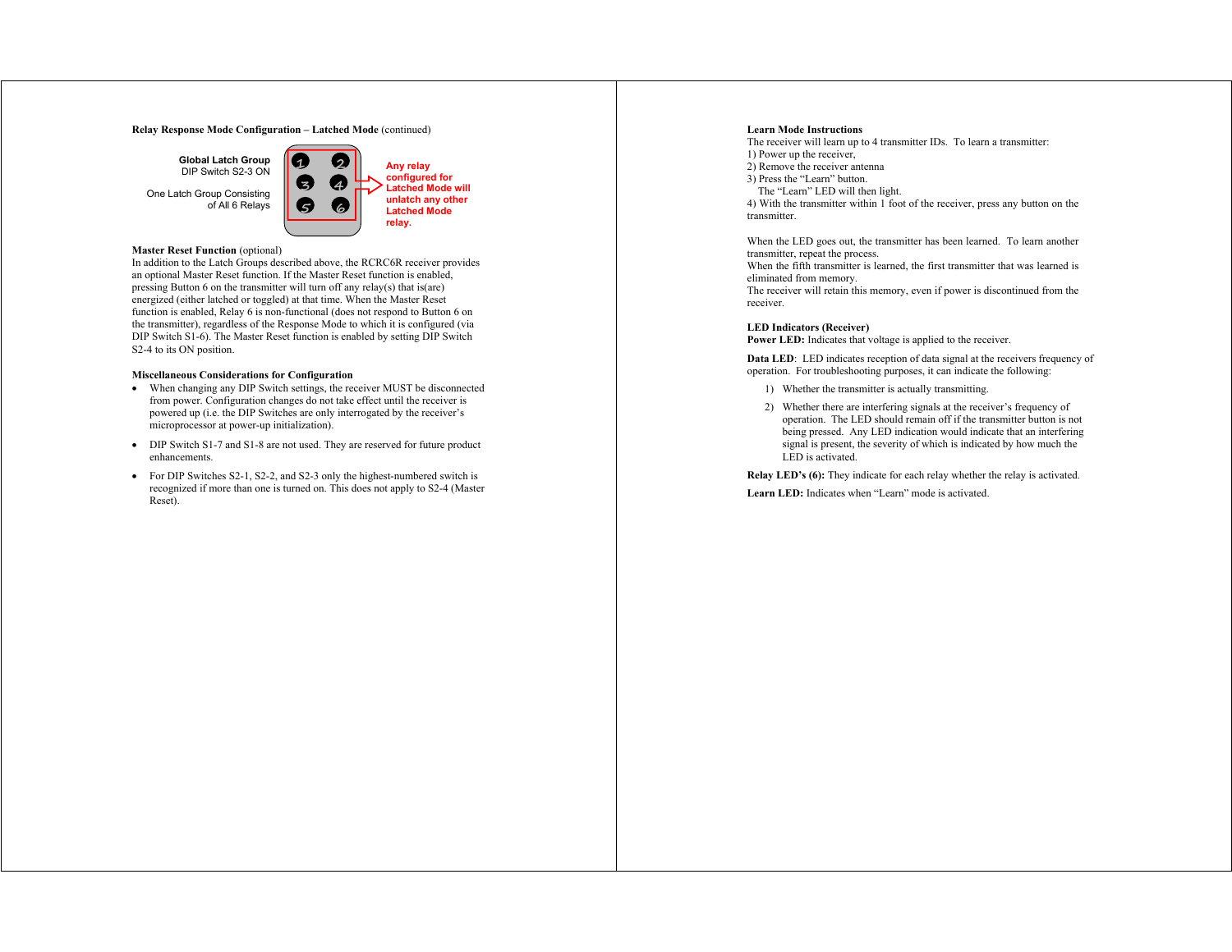#### **Relay Response Mode Configuration – Latched Mode** (continued)

**Global Latch Group**  DIP Switch S2-3 ON

One Latch Group Consisting of All 6 Relays



## **Master Reset Function** (optional)

In addition to the Latch Groups described above, the RCRC6R receiver provides an optional Master Reset function. If the Master Reset function is enabled, pressing Button 6 on the transmitter will turn off any relay(s) that is(are) energized (either latched or toggled) at that time. When the Master Reset function is enabled, Relay 6 is non-functional (does not respond to Button 6 on the transmitter), regardless of the Response Mode to which it is configured (via DIP Switch S1-6). The Master Reset function is enabled by setting DIP Switch S2-4 to its ON position.

## **Miscellaneous Considerations for Configuration**

- When changing any DIP Switch settings, the receiver MUST be disconnected from power. Configuration changes do not take effect until the receiver is powered up (i.e. the DIP Switches are only interrogated by the receiver's microprocessor at power-up initialization).
- DIP Switch S1-7 and S1-8 are not used. They are reserved for future product enhancements.
- For DIP Switches S2-1, S2-2, and S2-3 only the highest-numbered switch is recognized if more than one is turned on. This does not apply to S2-4 (Master Reset).

#### **Learn Mode Instructions**

The receiver will learn up to 4 transmitter IDs. To learn a transmitter: 1) Power up the receiver, 2) Remove the receiver antenna 3) Press the "Learn" button. The "Learn" LED will then light. 4) With the transmitter within 1 foot of the receiver, press any button on the

transmitter.

When the LED goes out, the transmitter has been learned. To learn another transmitter, repeat the process.

When the fifth transmitter is learned, the first transmitter that was learned is eliminated from memory.

The receiver will retain this memory, even if power is discontinued from the receiver.

## **LED Indicators (Receiver)**

Power LED: Indicates that voltage is applied to the receiver.

**Data LED**: LED indicates reception of data signal at the receivers frequency of operation. For troubleshooting purposes, it can indicate the following:

- 1) Whether the transmitter is actually transmitting.
- 2) Whether there are interfering signals at the receiver's frequency of operation. The LED should remain off if the transmitter button is not being pressed. Any LED indication would indicate that an interfering signal is present, the severity of which is indicated by how much the LED is activated.

**Relay LED's (6):** They indicate for each relay whether the relay is activated.

**Learn LED:** Indicates when "Learn" mode is activated.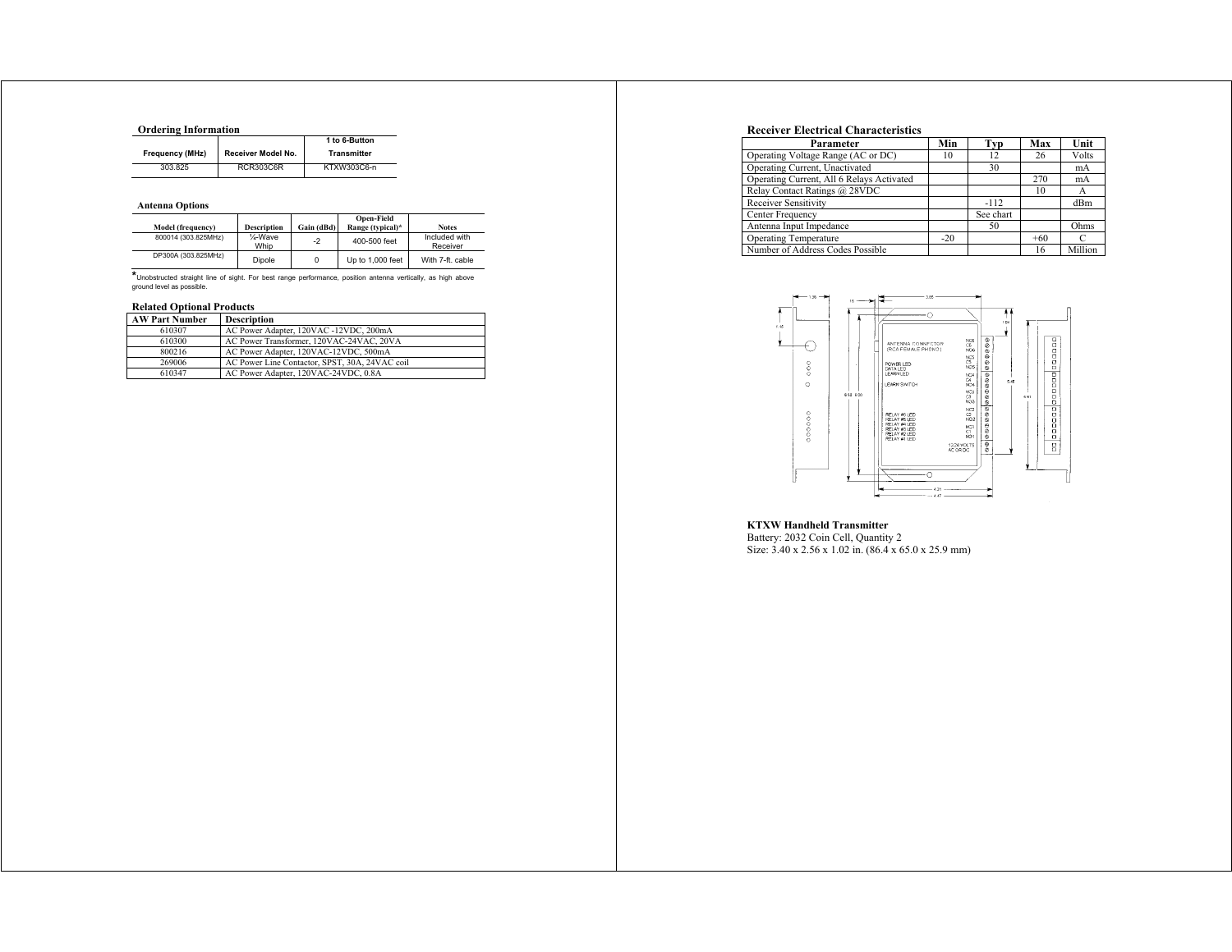# **Ordering Information**

|                 |                    | 1 to 6-Button      |
|-----------------|--------------------|--------------------|
| Frequency (MHz) | Receiver Model No. | <b>Transmitter</b> |
| 303.825         | RCR303C6R          | KTXW303C6-n        |

### **Antenna Options**

| Model (frequency)   | <b>Description</b> | Gain (dBd) | <b>Open-Field</b><br>Range (typical)* | <b>Notes</b>              |
|---------------------|--------------------|------------|---------------------------------------|---------------------------|
| 800014 (303.825MHz) | 1⁄4-Wave<br>Whip   | $-2$       | 400-500 feet                          | Included with<br>Receiver |
| DP300A (303.825MHz) | Dipole             | 0          | Up to 1,000 feet                      | With 7-ft. cable          |

**\***Unobstructed straight line of sight. For best range performance, position antenna vertically, as high above ground level as possible.

### **Related Optional Products**

| <b>AW Part Number</b> | <b>Description</b>                             |
|-----------------------|------------------------------------------------|
| 610307                | AC Power Adapter, 120VAC -12VDC, 200mA         |
| 610300                | AC Power Transformer, 120VAC-24VAC, 20VA       |
| 800216                | AC Power Adapter, 120VAC-12VDC, 500mA          |
| 269006                | AC Power Line Contactor, SPST, 30A, 24VAC coil |
| 610347                | AC Power Adapter, 120VAC-24VDC, 0.8A           |

## **Receiver Electrical Characteristics**

| Parameter                                 | Min   | Typ       | Max   | Unit    |
|-------------------------------------------|-------|-----------|-------|---------|
| Operating Voltage Range (AC or DC)        | 10    | 12        | 26    | Volts   |
| Operating Current, Unactivated            |       | 30        |       | mA      |
| Operating Current, All 6 Relays Activated |       |           | 270   | mA      |
| Relay Contact Ratings @ 28VDC             |       |           | 10    | А       |
| Receiver Sensitivity                      |       | $-112$    |       | dBm     |
| Center Frequency                          |       | See chart |       |         |
| Antenna Input Impedance                   |       | 50        |       | Ohms    |
| <b>Operating Temperature</b>              | $-20$ |           | $+60$ | C       |
| Number of Address Codes Possible          |       |           | 16    | Million |



**KTXW Handheld Transmitter**<br>Battery: 2032 Coin Cell, Quantity 2<br>Size: 3.40 x 2.56 x 1.02 in. (86.4 x 65.0 x 25.9 mm)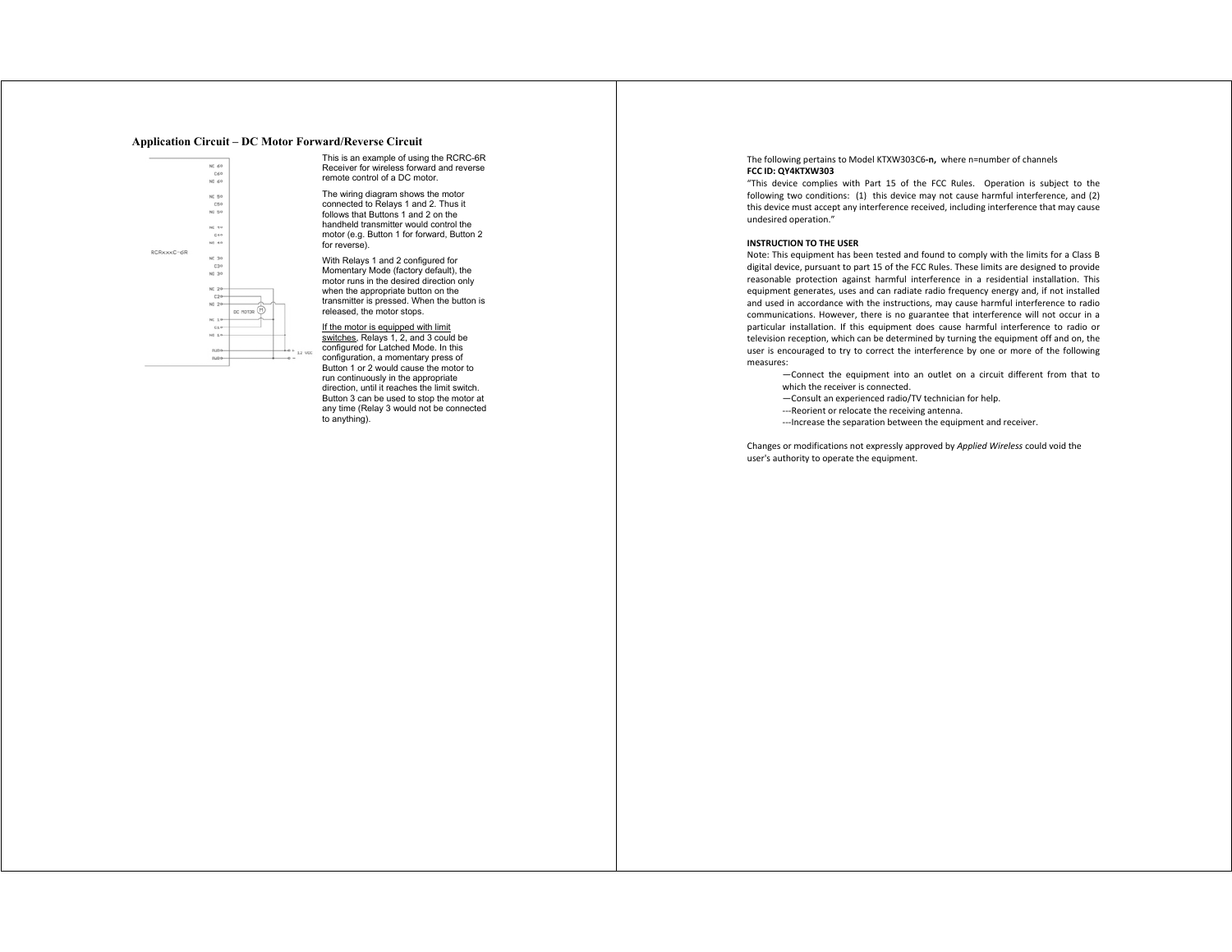### **Application Circuit – DC Motor Forward/Reverse Circuit**



This is an example of using the RCRC-6R Receiver for wireless forward and reverse remote control of a DC motor.

The wiring diagram shows the motor connected to Relays 1 and 2. Thus it follows that Buttons 1 and 2 on the handheld transmitter would control the motor (e.g. Button 1 for forward, Button 2 for reverse).

With Relays 1 and 2 configured for Momentary Mode (factory default), the motor runs in the desired direction only when the appropriate button on the transmitter is pressed. When the button is released, the motor stops.

If the motor is equipped with limit switches, Relays 1, 2, and 3 could be

configured for Latched Mode. In this configuration, a momentary press of Button 1 or 2 would cause the motor to run continuously in the appropriate direction, until it reaches the limit switch. Button 3 can be used to stop the motor at any time (Relay 3 would not be connected to anything).

The following pertains to Model KTXW303C6**‐n,** where n=number of channels **FCC ID: QY4KTXW303** 

"This device complies with Part 15 of the FCC Rules. Operation is subject to the following two conditions: (1) this device may not cause harmful interference, and (2) this device must accept any interference received, including interference that may cause undesired operation."

#### **INSTRUCTION TO THE USER**

Note: This equipment has been tested and found to comply with the limits for a Class B digital device, pursuant to part 15 of the FCC Rules. These limits are designed to provide reasonable protection against harmful interference in <sup>a</sup> residential installation. This equipment generates, uses and can radiate radio frequency energy and, if not installed and used in accordance with the instructions, may cause harmful interference to radio communications. However, there is no guarantee that interference will not occur in a particular installation. If this equipment does cause harmful interference to radio or television reception, which can be determined by turning the equipment off and on, the user is encouraged to try to correct the interference by one or more of the following measures:

- —Connect the equipment into an outlet on <sup>a</sup> circuit different from that to which the receiver is connected.
- —Consult an experienced radio/TV technician for help.
- ‐‐‐Reorient or relocate the receiving antenna.
- ‐‐‐Increase the separation between the equipment and receiver.

Changes or modifications not expressly approved by *Applied Wireless* could void the user's authority to operate the equipment.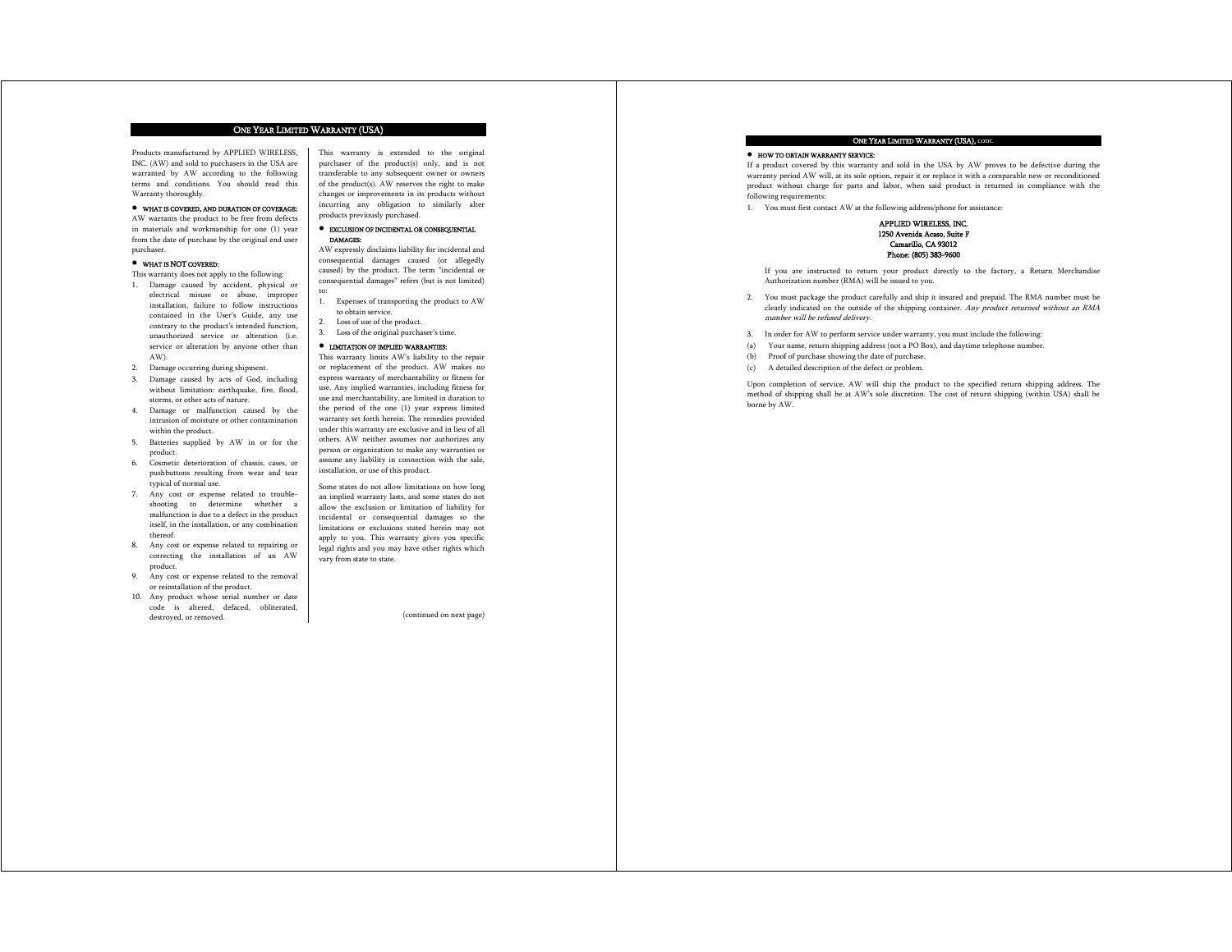#### ONE YEAR LIMITED WARRANTY (USA)

to:

Products manufactured by APPLIED WIRELESS, INC. (AW) and sold to purchasers in the USA are warranted by AW according to the following terms and conditions. You should read this Warranty thoroughly.

#### WHAT IS COVERED, AND DURATION OF COVERAGE:

AW warrants the product to be free from defects in materials and workmanship for one (1) year from the date of purchase by the original end user purchaser.

#### WHAT IS NOT COVERED:

This warranty does not apply to the following:

- 1. Damage caused by accident, physical or electrical misuse or abuse, improper installation, failure to follow instructions contained in the User's Guide, any use contrary to the product's intended function, unauthorized service or alteration (i.e. service or alteration by anyone other than AW).
- 2. Damage occurring during shipment.
- 3. Damage caused by acts of God, including without limitation: earthquake, fire, flood, storms, or other acts of nature.
- 4. Damage or malfunction caused by the intrusion of moisture or other contamination within the product.
- 5. Batteries supplied by AW in or for the product.
- 6. Cosmetic deterioration of chassis, cases, or pushbuttons resulting from wear and tear typical of normal use.
- 7. Any cost or expense related to troubleshooting to determine whether a malfunction is due to a defect in the product itself, in the installation, or any combination thereof.
- 8. Any cost or expense related to repairing or correcting the installation of an AW product.
- 9. Any cost or expense related to the removal or reinstallation of the product.
- 10. Any product whose serial number or date code is altered, defaced, obliterated, destroyed, or removed.

This warranty is extended to the original purchaser of the product(s) only, and is not transferable to any subsequent owner or owners of the product(s). AW reserves the right to make changes or improvements in its products without incurring any obligation to similarly alter products previously purchased.

#### EXCLUSION OF INCIDENTAL OR CONSEQUENTIAL DAMAGES:

AW expressly disclaims liability for incidental and consequential damages caused (or allegedly caused) by the product. The term "incidental or consequential damages" refers (but is not limited)

- 1. Expenses of transporting the product to AW to obtain service.
- Loss of use of the product.
- 3. Loss of the original purchaser's time.

#### LIMITATION OF IMPLIED WARRANTIES: This warranty limits AW's liability to the repair

or replacement of the product. AW makes no express warranty of merchantability or fitness for use. Any implied warranties, including fitness for use and merchantability, are limited in duration to the period of the one (1) year express limited warranty set forth herein. The remedies provided under this warranty are exclusive and in lieu of all others. AW neither assumes nor authorizes any person or organization to make any warranties or assume any liability in connection with the sale, installation, or use of this product.

Some states do not allow limitations on how long an implied warranty lasts, and some states do not allow the exclusion or limitation of liability for incidental or consequential damages so the limitations or exclusions stated herein may not apply to you. This warranty gives you specific legal rights and you may have other rights which vary from state to state.

(continued on next page)

#### ONE YEAR LIMITED WARRANTY (USA), cont.

#### HOW TO OBTAIN WARRANTY SERVICE:

If a product covered by this warranty and sold in the USA by AW proves to be defective during the warranty period AW will, at its sole option, repair it or replace it with a comparable new or reconditioned product without charge for parts and labor, when said product is returned in compliance with the following requirements:

1. You must first contact AW at the following address/phone for assistance:



If you are instructed to return your product directly to the factory, a Return Merchandise Authorization number (RMA) will be issued to you.

- 2. You must package the product carefully and ship it insured and prepaid. The RMA number must be clearly indicated on the outside of the shipping container. Any product returned without an RMA number will be refused delivery.
- 3. In order for AW to perform service under warranty, you must include the following:
- (a) Your name, return shipping address (not a PO Box), and daytime telephone number.
- (b) Proof of purchase showing the date of purchase.
- (c) A detailed description of the defect or problem.

Upon completion of service, AW will ship the product to the specified return shipping address. The method of shipping shall be at AW's sole discretion. The cost of return shipping (within USA) shall be borne by AW.